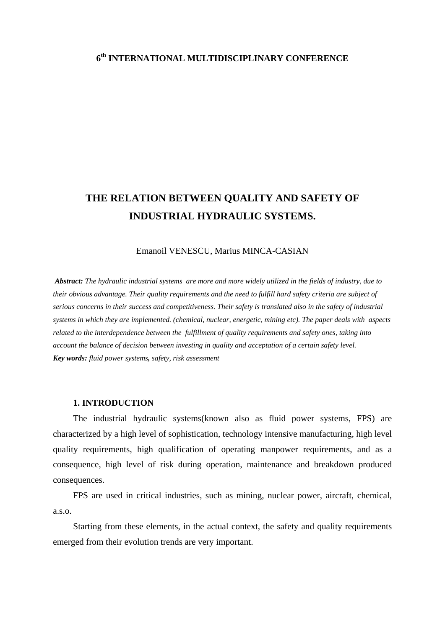### **6th INTERNATIONAL MULTIDISCIPLINARY CONFERENCE**

# **THE RELATION BETWEEN QUALITY AND SAFETY OF INDUSTRIAL HYDRAULIC SYSTEMS.**

#### Emanoil VENESCU, Marius MINCA-CASIAN

*Abstract: The hydraulic industrial systems are more and more widely utilized in the fields of industry, due to their obvious advantage. Their quality requirements and the need to fulfill hard safety criteria are subject of serious concerns in their success and competitiveness. Their safety is translated also in the safety of industrial systems in which they are implemented. (chemical, nuclear, energetic, mining etc). The paper deals with aspects related to the interdependence between the fulfillment of quality requirements and safety ones, taking into account the balance of decision between investing in quality and acceptation of a certain safety level. Key words: fluid power systems, safety, risk assessment* 

#### **1. INTRODUCTION**

The industrial hydraulic systems(known also as fluid power systems, FPS) are characterized by a high level of sophistication, technology intensive manufacturing, high level quality requirements, high qualification of operating manpower requirements, and as a consequence, high level of risk during operation, maintenance and breakdown produced consequences.

FPS are used in critical industries, such as mining, nuclear power, aircraft, chemical, a.s.o.

Starting from these elements, in the actual context, the safety and quality requirements emerged from their evolution trends are very important.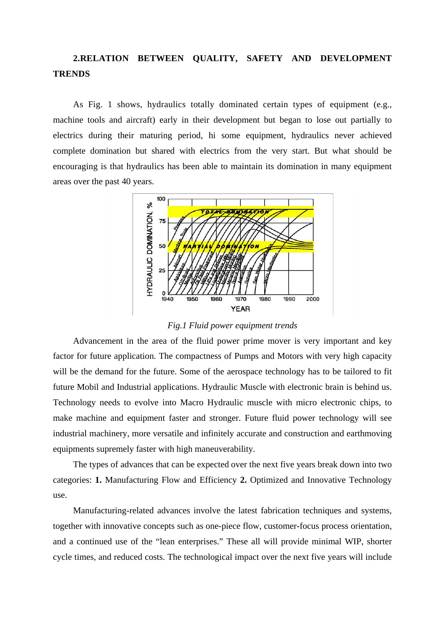## **2.RELATION BETWEEN QUALITY, SAFETY AND DEVELOPMENT TRENDS**

As Fig. 1 shows, hydraulics totally dominated certain types of equipment (e.g., machine tools and aircraft) early in their development but began to lose out partially to electrics during their maturing period, hi some equipment, hydraulics never achieved complete domination but shared with electrics from the very start. But what should be encouraging is that hydraulics has been able to maintain its domination in many equipment areas over the past 40 years.



*Fig.1 Fluid power equipment trends* 

Advancement in the area of the fluid power prime mover is very important and key factor for future application. The compactness of Pumps and Motors with very high capacity will be the demand for the future. Some of the aerospace technology has to be tailored to fit future Mobil and Industrial applications. Hydraulic Muscle with electronic brain is behind us. Technology needs to evolve into Macro Hydraulic muscle with micro electronic chips, to make machine and equipment faster and stronger. Future fluid power technology will see industrial machinery, more versatile and infinitely accurate and construction and earthmoving equipments supremely faster with high maneuverability.

The types of advances that can be expected over the next five years break down into two categories: **1.** Manufacturing Flow and Efficiency **2.** Optimized and Innovative Technology use.

Manufacturing-related advances involve the latest fabrication techniques and systems, together with innovative concepts such as one-piece flow, customer-focus process orientation, and a continued use of the "lean enterprises." These all will provide minimal WIP, shorter cycle times, and reduced costs. The technological impact over the next five years will include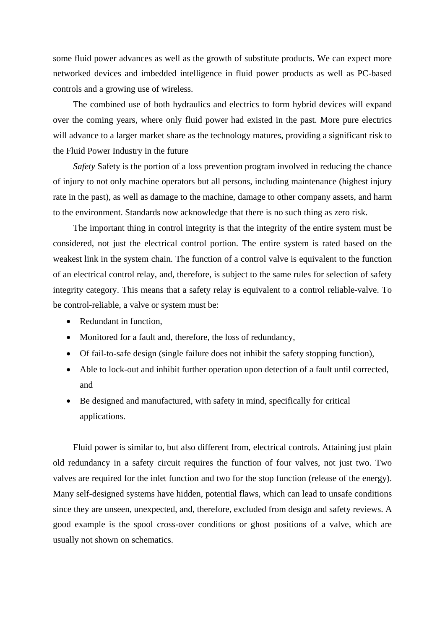some fluid power advances as well as the growth of substitute products. We can expect more networked devices and imbedded intelligence in fluid power products as well as PC-based controls and a growing use of wireless.

The combined use of both hydraulics and electrics to form hybrid devices will expand over the coming years, where only fluid power had existed in the past. More pure electrics will advance to a larger market share as the technology matures, providing a significant risk to the Fluid Power Industry in the future

*Safety* Safety is the portion of a loss prevention program involved in reducing the chance of injury to not only machine operators but all persons, including maintenance (highest injury rate in the past), as well as damage to the machine, damage to other company assets, and harm to the environment. Standards now acknowledge that there is no such thing as zero risk.

The important thing in control integrity is that the integrity of the entire system must be considered, not just the electrical control portion. The entire system is rated based on the weakest link in the system chain. The function of a control valve is equivalent to the function of an electrical control relay, and, therefore, is subject to the same rules for selection of safety integrity category. This means that a safety relay is equivalent to a control reliable-valve. To be control-reliable, a valve or system must be:

- Redundant in function,
- Monitored for a fault and, therefore, the loss of redundancy,
- Of fail-to-safe design (single failure does not inhibit the safety stopping function),
- Able to lock-out and inhibit further operation upon detection of a fault until corrected, and
- Be designed and manufactured, with safety in mind, specifically for critical applications.

Fluid power is similar to, but also different from, electrical controls. Attaining just plain old redundancy in a safety circuit requires the function of four valves, not just two. Two valves are required for the inlet function and two for the stop function (release of the energy). Many self-designed systems have hidden, potential flaws, which can lead to unsafe conditions since they are unseen, unexpected, and, therefore, excluded from design and safety reviews. A good example is the spool cross-over conditions or ghost positions of a valve, which are usually not shown on schematics.